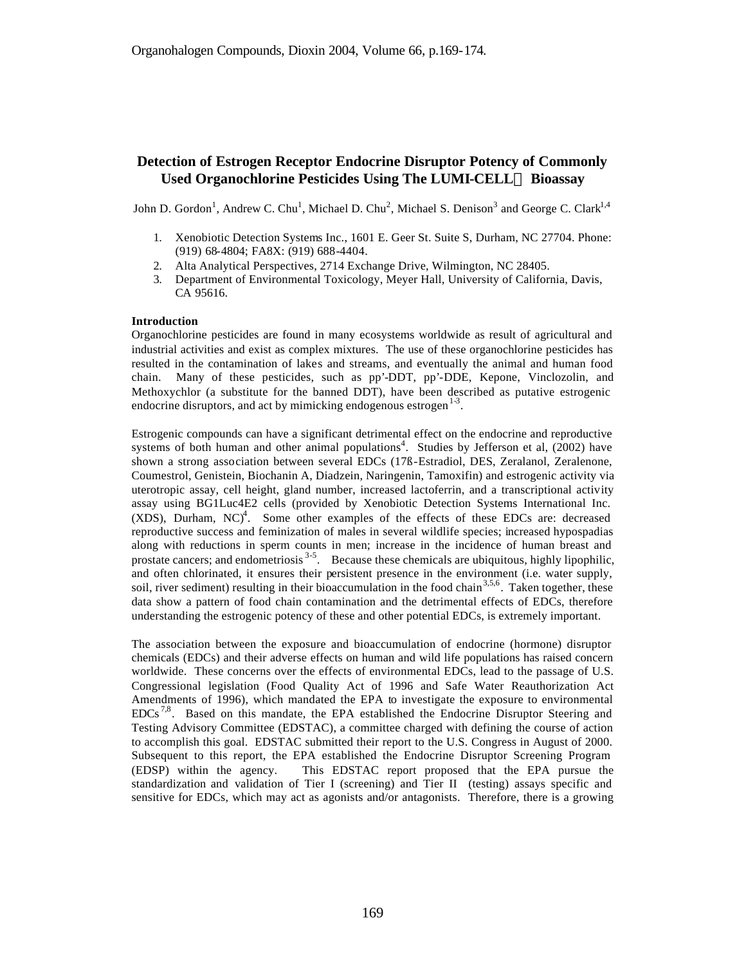# **Detection of Estrogen Receptor Endocrine Disruptor Potency of Commonly Used Organochlorine Pesticides Using The LUMI-CELLä Bioassay**

John D. Gordon<sup>1</sup>, Andrew C. Chu<sup>1</sup>, Michael D. Chu<sup>2</sup>, Michael S. Denison<sup>3</sup> and George C. Clark<sup>1,4</sup>

- 1. Xenobiotic Detection Systems Inc., 1601 E. Geer St. Suite S, Durham, NC 27704. Phone: (919) 68-4804; FA8X: (919) 688-4404.
- 2. Alta Analytical Perspectives, 2714 Exchange Drive, Wilmington, NC 28405.
- 3. Department of Environmental Toxicology, Meyer Hall, University of California, Davis, CA 95616.

## **Introduction**

Organochlorine pesticides are found in many ecosystems worldwide as result of agricultural and industrial activities and exist as complex mixtures. The use of these organochlorine pesticides has resulted in the contamination of lakes and streams, and eventually the animal and human food chain. Many of these pesticides, such as pp'-DDT, pp'-DDE, Kepone, Vinclozolin, and Methoxychlor (a substitute for the banned DDT), have been described as putative estrogenic endocrine disruptors, and act by mimicking endogenous estrogen $1<sup>3</sup>$ .

Estrogenic compounds can have a significant detrimental effect on the endocrine and reproductive systems of both human and other animal populations<sup>4</sup>. Studies by Jefferson et al,  $(2002)$  have shown a strong association between several EDCs (17ß-Estradiol, DES, Zeralanol, Zeralenone, Coumestrol, Genistein, Biochanin A, Diadzein, Naringenin, Tamoxifin) and estrogenic activity via uterotropic assay, cell height, gland number, increased lactoferrin, and a transcriptional activity assay using BG1Luc4E2 cells (provided by Xenobiotic Detection Systems International Inc.  $(XDS)$ , Durham,  $NC$ <sup>4</sup>. Some other examples of the effects of these EDCs are: decreased reproductive success and feminization of males in several wildlife species; increased hypospadias along with reductions in sperm counts in men; increase in the incidence of human breast and prostate cancers; and endometriosis <sup>3-5</sup>. Because these chemicals are ubiquitous, highly lipophilic, and often chlorinated, it ensures their persistent presence in the environment (i.e. water supply, soil, river sediment) resulting in their bioaccumulation in the food chain<sup>3,5,6</sup>. Taken together, these data show a pattern of food chain contamination and the detrimental effects of EDCs, therefore understanding the estrogenic potency of these and other potential EDCs, is extremely important.

The association between the exposure and bioaccumulation of endocrine (hormone) disruptor chemicals (EDCs) and their adverse effects on human and wild life populations has raised concern worldwide. These concerns over the effects of environmental EDCs, lead to the passage of U.S. Congressional legislation (Food Quality Act of 1996 and Safe Water Reauthorization Act Amendments of 1996), which mandated the EPA to investigate the exposure to environmental  $EDCs<sup>7,8</sup>$ . Based on this mandate, the EPA established the Endocrine Disruptor Steering and Testing Advisory Committee (EDSTAC), a committee charged with defining the course of action to accomplish this goal. EDSTAC submitted their report to the U.S. Congress in August of 2000. Subsequent to this report, the EPA established the Endocrine Disruptor Screening Program (EDSP) within the agency. This EDSTAC report proposed that the EPA pursue the standardization and validation of Tier I (screening) and Tier II (testing) assays specific and sensitive for EDCs, which may act as agonists and/or antagonists. Therefore, there is a growing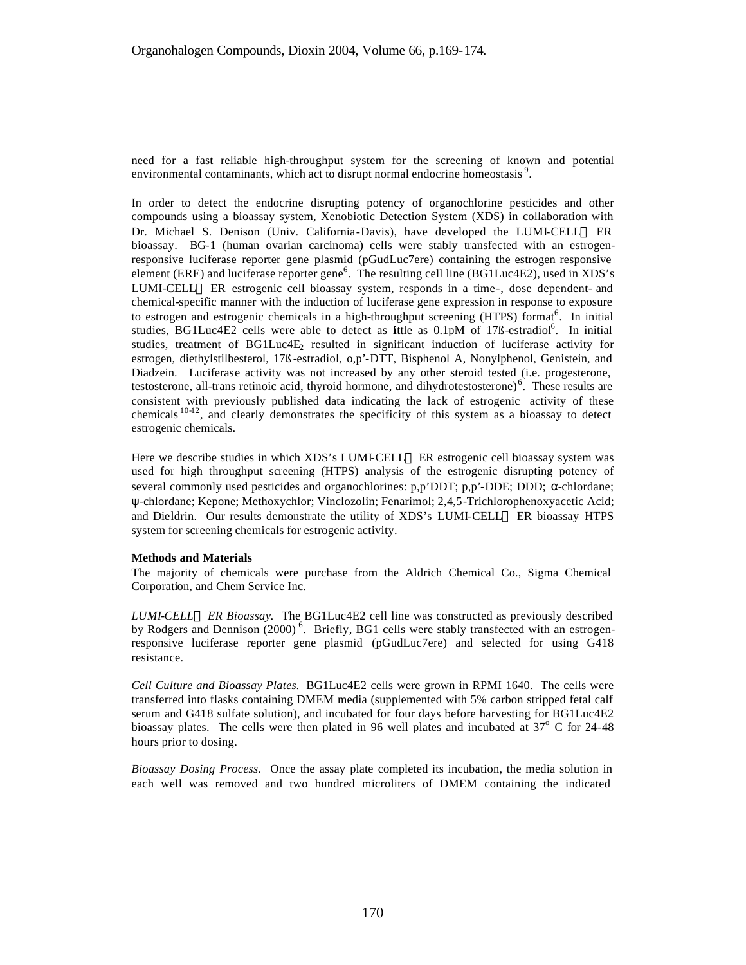need for a fast reliable high-throughput system for the screening of known and potential environmental contaminants, which act to disrupt normal endocrine homeostasis<sup>9</sup>.

In order to detect the endocrine disrupting potency of organochlorine pesticides and other compounds using a bioassay system, Xenobiotic Detection System (XDS) in collaboration with Dr. Michael S. Denison (Univ. California-Davis), have developed the LUMI-CELL<sup>TM</sup> ER bioassay. BG-1 (human ovarian carcinoma) cells were stably transfected with an estrogenresponsive luciferase reporter gene plasmid (pGudLuc7ere) containing the estrogen responsive element (ERE) and luciferase reporter gene<sup>6</sup>. The resulting cell line (BG1Luc4E2), used in XDS's LUMI-CELL<sup> $M$ </sup> ER estrogenic cell bioassay system, responds in a time-, dose dependent- and chemical-specific manner with the induction of luciferase gene expression in response to exposure to estrogen and estrogenic chemicals in a high-throughput screening (HTPS) format<sup>6</sup>. In initial studies, BG1Luc4E2 cells were able to detect as lttle as 0.1pM of 17B-estradiol<sup>6</sup>. In initial studies, treatment of  $BGLuc4E<sub>2</sub>$  resulted in significant induction of luciferase activity for estrogen, diethylstilbesterol, 17ß -estradiol, o,p'-DTT, Bisphenol A, Nonylphenol, Genistein, and Diadzein. Luciferase activity was not increased by any other steroid tested (i.e. progesterone, testosterone, all-trans retinoic acid, thyroid hormone, and dihydrotestosterone) $6$ . These results are consistent with previously published data indicating the lack of estrogenic activity of these chemicals 10-12, and clearly demonstrates the specificity of this system as a bioassay to detect estrogenic chemicals.

Here we describe studies in which XDS's LUMI-CELL<sup>™</sup> ER estrogenic cell bioassay system was used for high throughput screening (HTPS) analysis of the estrogenic disrupting potency of several commonly used pesticides and organochlorines: p,p'DDT; p,p'-DDE; DDD; α-chlordane; ψ-chlordane; Kepone; Methoxychlor; Vinclozolin; Fenarimol; 2,4,5-Trichlorophenoxyacetic Acid; and Dieldrin. Our results demonstrate the utility of XDS's LUMI-CELL™ ER bioassay HTPS system for screening chemicals for estrogenic activity.

### **Methods and Materials**

The majority of chemicals were purchase from the Aldrich Chemical Co., Sigma Chemical Corporation, and Chem Service Inc.

*LUMI-CELLä ER Bioassay.* The BG1Luc4E2 cell line was constructed as previously described by Rodgers and Dennison (2000)<sup>6</sup>. Briefly, BG1 cells were stably transfected with an estrogenresponsive luciferase reporter gene plasmid (pGudLuc7ere) and selected for using G418 resistance.

*Cell Culture and Bioassay Plates.* BG1Luc4E2 cells were grown in RPMI 1640. The cells were transferred into flasks containing DMEM media (supplemented with 5% carbon stripped fetal calf serum and G418 sulfate solution), and incubated for four days before harvesting for BG1Luc4E2 bioassay plates. The cells were then plated in 96 well plates and incubated at  $37^{\circ}$  C for 24-48 hours prior to dosing.

*Bioassay Dosing Process.* Once the assay plate completed its incubation, the media solution in each well was removed and two hundred microliters of DMEM containing the indicated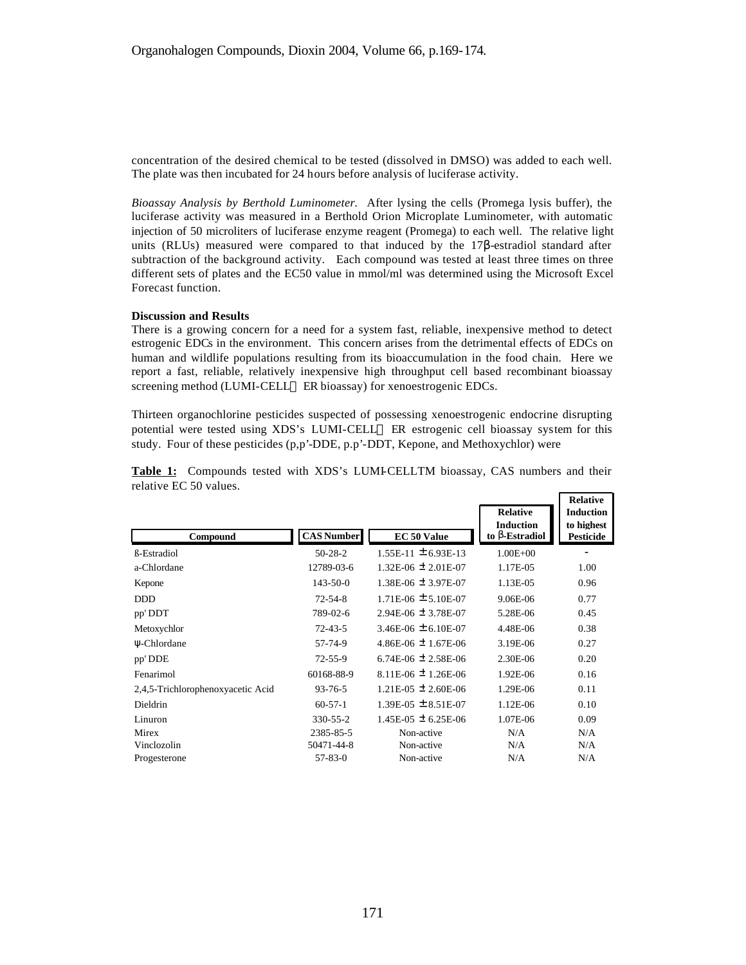concentration of the desired chemical to be tested (dissolved in DMSO) was added to each well. The plate was then incubated for 24 hours before analysis of luciferase activity.

*Bioassay Analysis by Berthold Luminometer.* After lysing the cells (Promega lysis buffer), the luciferase activity was measured in a Berthold Orion Microplate Luminometer, with automatic injection of 50 microliters of luciferase enzyme reagent (Promega) to each well. The relative light units (RLUs) measured were compared to that induced by the  $17\beta$ -estradiol standard after subtraction of the background activity. Each compound was tested at least three times on three different sets of plates and the EC50 value in mmol/ml was determined using the Microsoft Excel Forecast function.

## **Discussion and Results**

There is a growing concern for a need for a system fast, reliable, inexpensive method to detect estrogenic EDCs in the environment. This concern arises from the detrimental effects of EDCs on human and wildlife populations resulting from its bioaccumulation in the food chain. Here we report a fast, reliable, relatively inexpensive high throughput cell based recombinant bioassay screening method (LUMI-CELL™ ER bioassay) for xenoestrogenic EDCs.

Thirteen organochlorine pesticides suspected of possessing xenoestrogenic endocrine disrupting potential were tested using XDS's LUMI-CELL™ ER estrogenic cell bioassay system for this study. Four of these pesticides  $(p, p'-DDE, p, p'-DDT, Kepone, and Methoxychlor)$  were

|                                   |                   |                           |                                     | лсіантс                        |
|-----------------------------------|-------------------|---------------------------|-------------------------------------|--------------------------------|
|                                   |                   |                           | <b>Relative</b><br><b>Induction</b> | <b>Induction</b><br>to highest |
| Compound                          | <b>CAS Number</b> | EC 50 Value               | to <b>b</b> -Estradiol              | <b>Pesticide</b>               |
| <b>ß-Estradiol</b>                | $50-28-2$         | $1.55E-11 \pm 6.93E-13$   | $1.00E + 00$                        | ۰                              |
| a-Chlordane                       | 12789-03-6        | $1.32E-06 \pm 2.01E-07$   | 1.17E-05                            | 1.00                           |
| Kepone                            | $143 - 50 - 0$    | 1.38E-06 $\pm$ 3.97E-07   | 1.13E-05                            | 0.96                           |
| <b>DDD</b>                        | $72 - 54 - 8$     | $1.71E-06 \pm 5.10E-07$   | 9.06E-06                            | 0.77                           |
| pp' DDT                           | 789-02-6          | $2.94E-06 \pm 3.78E-07$   | 5.28E-06                            | 0.45                           |
| Metoxychlor                       | $72 - 43 - 5$     | 3.46E-06 $\pm$ 6.10E-07   | 4.48E-06                            | 0.38                           |
| Ψ-Chlordane                       | 57-74-9           | 4.86E-06 $\pm$ 1.67E-06   | 3.19E-06                            | 0.27                           |
| pp' DDE                           | $72 - 55 - 9$     | 6.74E-06 $\pm$ 2.58E-06   | 2.30E-06                            | 0.20                           |
| Fenarimol                         | 60168-88-9        | 8.11E-06 $\pm$ 1.26E-06   | 1.92E-06                            | 0.16                           |
| 2,4,5-Trichlorophenoxyacetic Acid | $93 - 76 - 5$     | $1.21E-05 \pm 2.60E-06$   | 1.29E-06                            | 0.11                           |
| Dieldrin                          | $60-57-1$         | $1.39E-05 \pm 8.51E-07$   | 1.12E-06                            | 0.10                           |
| Linuron                           | $330 - 55 - 2$    | $1.45E-0.5 \pm 6.25E-0.6$ | 1.07E-06                            | 0.09                           |
| Mirex                             | 2385-85-5         | Non-active                | N/A                                 | N/A                            |
| Vinclozolin                       | 50471-44-8        | Non-active                | N/A                                 | N/A                            |
| Progesterone                      | $57 - 83 - 0$     | Non-active                | N/A                                 | N/A                            |

Table 1: Compounds tested with XDS's LUMI-CELLTM bioassay, CAS numbers and their relative EC 50 values. **Relative**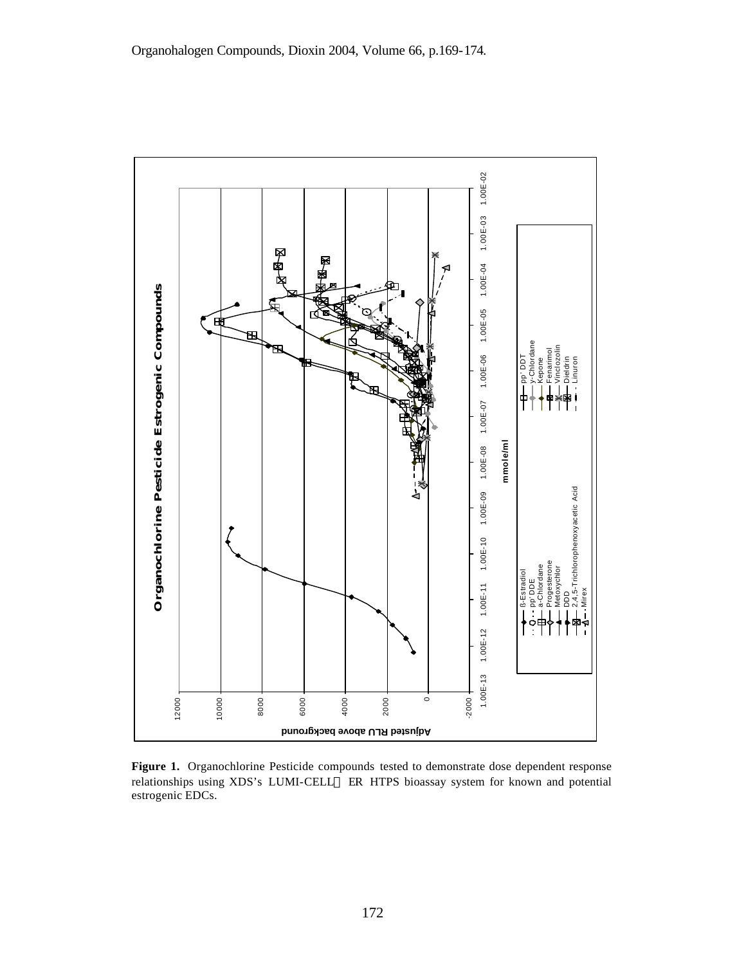

**Figure 1.** Organochlorine Pesticide compounds tested to demonstrate dose dependent response relationships using XDS's LUMI-CELL™ ER HTPS bioassay system for known and potential estrogenic EDCs.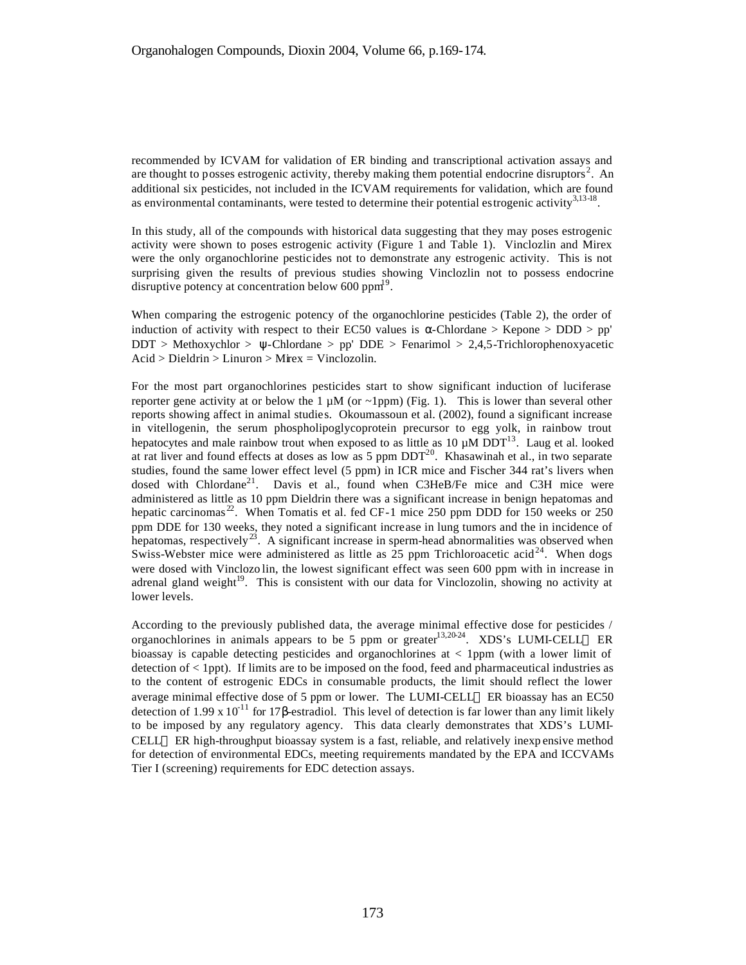recommended by ICVAM for validation of ER binding and transcriptional activation assays and are thought to posses estrogenic activity, thereby making them potential endocrine disruptors<sup>2</sup>. An additional six pesticides, not included in the ICVAM requirements for validation, which are found as environmental contaminants, were tested to determine their potential estrogenic activity<sup>3,13-18</sup>.

In this study, all of the compounds with historical data suggesting that they may poses estrogenic activity were shown to poses estrogenic activity (Figure 1 and Table 1). Vinclozlin and Mirex were the only organochlorine pesticides not to demonstrate any estrogenic activity. This is not surprising given the results of previous studies showing Vinclozlin not to possess endocrine disruptive potency at concentration below 600 ppm<sup>19</sup>.

When comparing the estrogenic potency of the organochlorine pesticides (Table 2), the order of induction of activity with respect to their EC50 values is  $\alpha$ -Chlordane > Kepone > DDD > pp'  $DDT > Methoxychlor > \psi-Chlordane > pp' DDE > Fenarimol > 2,4,5-Trichlorophenoxyacetic$ Acid > Dieldrin > Linuron > Mirex = Vinclozolin.

For the most part organochlorines pesticides start to show significant induction of luciferase reporter gene activity at or below the 1  $\mu$ M (or ~1ppm) (Fig. 1). This is lower than several other reports showing affect in animal studies. Okoumassoun et al. (2002), found a significant increase in vitellogenin, the serum phospholipoglycoprotein precursor to egg yolk, in rainbow trout hepatocytes and male rainbow trout when exposed to as little as  $10 \mu M DDT^{13}$ . Laug et al. looked at rat liver and found effects at doses as low as 5 ppm  $DDT^{20}$ . Khasawinah et al., in two separate studies, found the same lower effect level (5 ppm) in ICR mice and Fischer 344 rat's livers when dosed with Chlordane<sup>21</sup>. Davis et al., found when C3HeB/Fe mice and C3H mice were administered as little as 10 ppm Dieldrin there was a significant increase in benign hepatomas and hepatic carcinomas<sup>22</sup>. When Tomatis et al. fed CF-1 mice 250 ppm DDD for 150 weeks or 250 ppm DDE for 130 weeks, they noted a significant increase in lung tumors and the in incidence of hepatomas, respectively<sup>23</sup>. A significant increase in sperm-head abnormalities was observed when Swiss-Webster mice were administered as little as  $25$  ppm Trichloroacetic acid<sup>24</sup>. When dogs were dosed with Vinclozo lin, the lowest significant effect was seen 600 ppm with in increase in adrenal gland weight $19$ . This is consistent with our data for Vinclozolin, showing no activity at lower levels.

According to the previously published data, the average minimal effective dose for pesticides / organochlorines in animals appears to be 5 ppm or greater<sup>13,20-24</sup>. XDS's LUMI-CELL<sup>TM</sup> ER bioassay is capable detecting pesticides and organochlorines at < 1ppm (with a lower limit of detection of < 1ppt). If limits are to be imposed on the food, feed and pharmaceutical industries as to the content of estrogenic EDCs in consumable products, the limit should reflect the lower average minimal effective dose of 5 ppm or lower. The LUMI-CELL<sup>TM</sup> ER bioassay has an EC50 detection of 1.99 x 10<sup>-11</sup> for 17β-estradiol. This level of detection is far lower than any limit likely to be imposed by any regulatory agency. This data clearly demonstrates that XDS's LUMI-CELL<sup> $M$ </sup> ER high-throughput bioassay system is a fast, reliable, and relatively inexpensive method for detection of environmental EDCs, meeting requirements mandated by the EPA and ICCVAMs Tier I (screening) requirements for EDC detection assays.